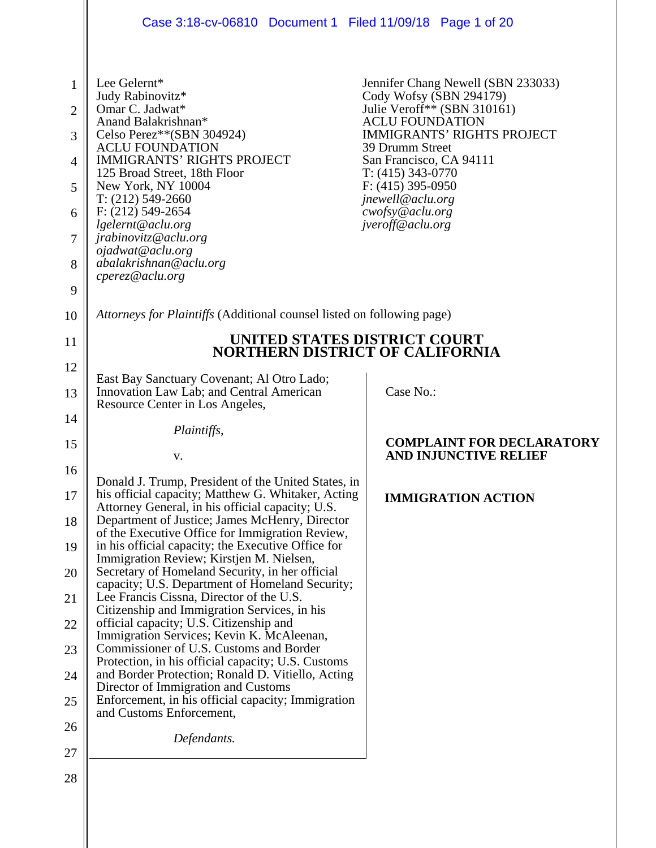|                | Case 3:18-cv-06810 Document 1 Filed 11/09/18 Page 1 of 20                                                                                                     |                                                                  |  |
|----------------|---------------------------------------------------------------------------------------------------------------------------------------------------------------|------------------------------------------------------------------|--|
|                |                                                                                                                                                               |                                                                  |  |
| $\mathbf{1}$   | Lee Gelernt*<br>Judy Rabinovitz*                                                                                                                              | Jennifer Chang Newell (SBN 233033)<br>Cody Wofsy (SBN 294179)    |  |
| $\overline{2}$ | Omar C. Jadwat*                                                                                                                                               | Julie Veroff** (SBN 310161)                                      |  |
| 3              | Anand Balakrishnan*<br>Celso Perez**(SBN 304924)                                                                                                              | <b>ACLU FOUNDATION</b><br><b>IMMIGRANTS' RIGHTS PROJECT</b>      |  |
| $\overline{4}$ | <b>ACLU FOUNDATION</b><br><b>IMMIGRANTS' RIGHTS PROJECT</b>                                                                                                   | 39 Drumm Street<br>San Francisco, CA 94111                       |  |
| 5              | 125 Broad Street, 18th Floor<br>New York, NY 10004                                                                                                            | $T: (415)$ 343-0770<br>$F: (415)$ 395-0950                       |  |
| 6              | $T: (212) 549-2660$<br>$F: (212) 549 - 2654$                                                                                                                  | jnewell@aclu.org<br>cwofsy@aclu.org                              |  |
| 7              | lgelernt@aclu.org<br>jrabinovitz@aclu.org                                                                                                                     | jveroff@aclu.org                                                 |  |
|                | ojadwat@aclu.org<br>abalakrishnan@aclu.org                                                                                                                    |                                                                  |  |
| 8              | cperez@aclu.org                                                                                                                                               |                                                                  |  |
| 9              |                                                                                                                                                               |                                                                  |  |
| 10             | Attorneys for Plaintiffs (Additional counsel listed on following page)                                                                                        |                                                                  |  |
| 11             | <b>NORTHERN DISTRICT OF CALIFORNIA</b>                                                                                                                        | UNITED STATES DISTRICT COURT                                     |  |
| 12             | East Bay Sanctuary Covenant; Al Otro Lado;                                                                                                                    |                                                                  |  |
| 13             | Innovation Law Lab; and Central American<br>Resource Center in Los Angeles,                                                                                   | Case No.:                                                        |  |
| 14             | Plaintiffs,                                                                                                                                                   |                                                                  |  |
| 15             | v.                                                                                                                                                            | <b>COMPLAINT FOR DECLARATORY</b><br><b>AND INJUNCTIVE RELIEF</b> |  |
| 16             |                                                                                                                                                               |                                                                  |  |
| 17             | Donald J. Trump, President of the United States, in<br>his official capacity; Matthew G. Whitaker, Acting<br>Attorney General, in his official capacity; U.S. | <b>IMMIGRATION ACTION</b>                                        |  |
| 18             | Department of Justice; James McHenry, Director<br>of the Executive Office for Immigration Review,                                                             |                                                                  |  |
| 19             | in his official capacity; the Executive Office for<br>Immigration Review; Kirstjen M. Nielsen,                                                                |                                                                  |  |
| 20             | Secretary of Homeland Security, in her official<br>capacity; U.S. Department of Homeland Security;                                                            |                                                                  |  |
| 21             | Lee Francis Cissna, Director of the U.S.<br>Citizenship and Immigration Services, in his                                                                      |                                                                  |  |
| 22             | official capacity; U.S. Citizenship and                                                                                                                       |                                                                  |  |
| 23             | Immigration Services; Kevin K. McAleenan,<br>Commissioner of U.S. Customs and Border                                                                          |                                                                  |  |
| 24             | Protection, in his official capacity; U.S. Customs<br>and Border Protection; Ronald D. Vitiello, Acting                                                       |                                                                  |  |
| 25             | Director of Immigration and Customs<br>Enforcement, in his official capacity; Immigration                                                                     |                                                                  |  |
| 26             | and Customs Enforcement,                                                                                                                                      |                                                                  |  |
| 27             | Defendants.                                                                                                                                                   |                                                                  |  |
| 28             |                                                                                                                                                               |                                                                  |  |
|                |                                                                                                                                                               |                                                                  |  |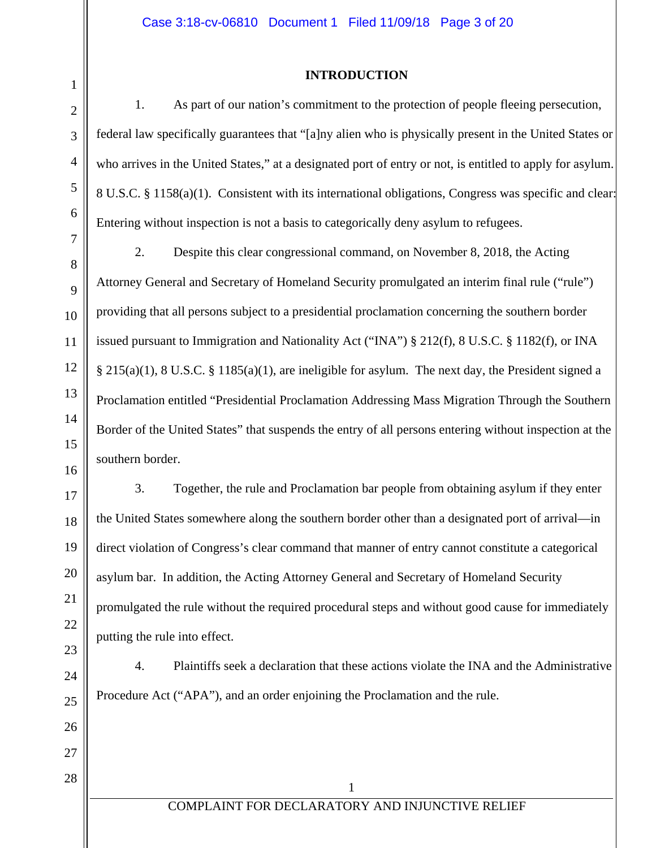# **INTRODUCTION**

1. As part of our nation's commitment to the protection of people fleeing persecution, federal law specifically guarantees that "[a]ny alien who is physically present in the United States or who arrives in the United States," at a designated port of entry or not, is entitled to apply for asylum. 8 U.S.C. § 1158(a)(1). Consistent with its international obligations, Congress was specific and clear: Entering without inspection is not a basis to categorically deny asylum to refugees.

2. Despite this clear congressional command, on November 8, 2018, the Acting Attorney General and Secretary of Homeland Security promulgated an interim final rule ("rule") providing that all persons subject to a presidential proclamation concerning the southern border issued pursuant to Immigration and Nationality Act ("INA") § 212(f), 8 U.S.C. § 1182(f), or INA § 215(a)(1), 8 U.S.C. § 1185(a)(1), are ineligible for asylum. The next day, the President signed a Proclamation entitled "Presidential Proclamation Addressing Mass Migration Through the Southern Border of the United States" that suspends the entry of all persons entering without inspection at the southern border.

3. Together, the rule and Proclamation bar people from obtaining asylum if they enter the United States somewhere along the southern border other than a designated port of arrival—in direct violation of Congress's clear command that manner of entry cannot constitute a categorical asylum bar. In addition, the Acting Attorney General and Secretary of Homeland Security promulgated the rule without the required procedural steps and without good cause for immediately putting the rule into effect.

4. Plaintiffs seek a declaration that these actions violate the INA and the Administrative Procedure Act ("APA"), and an order enjoining the Proclamation and the rule.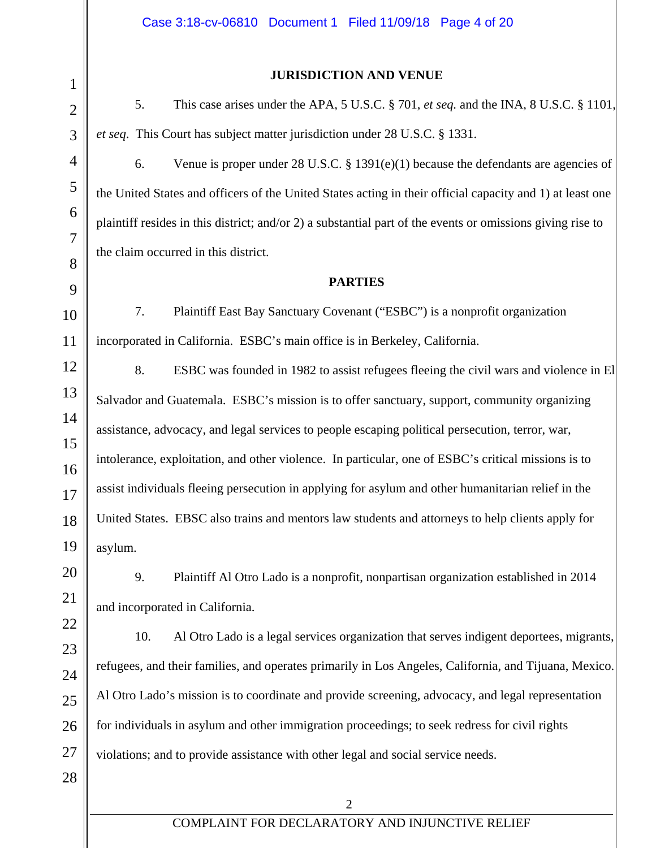#### **JURISDICTION AND VENUE**

5. This case arises under the APA, 5 U.S.C. § 701, *et seq.* and the INA, 8 U.S.C. § 1101, *et seq*. This Court has subject matter jurisdiction under 28 U.S.C. § 1331.

6. Venue is proper under 28 U.S.C. § 1391(e)(1) because the defendants are agencies of the United States and officers of the United States acting in their official capacity and 1) at least one plaintiff resides in this district; and/or 2) a substantial part of the events or omissions giving rise to the claim occurred in this district.

## **PARTIES**

7. Plaintiff East Bay Sanctuary Covenant ("ESBC") is a nonprofit organization incorporated in California. ESBC's main office is in Berkeley, California.

8. ESBC was founded in 1982 to assist refugees fleeing the civil wars and violence in El Salvador and Guatemala. ESBC's mission is to offer sanctuary, support, community organizing assistance, advocacy, and legal services to people escaping political persecution, terror, war, intolerance, exploitation, and other violence. In particular, one of ESBC's critical missions is to assist individuals fleeing persecution in applying for asylum and other humanitarian relief in the United States. EBSC also trains and mentors law students and attorneys to help clients apply for asylum.

9. Plaintiff Al Otro Lado is a nonprofit, nonpartisan organization established in 2014 and incorporated in California.

10. Al Otro Lado is a legal services organization that serves indigent deportees, migrants, refugees, and their families, and operates primarily in Los Angeles, California, and Tijuana, Mexico. Al Otro Lado's mission is to coordinate and provide screening, advocacy, and legal representation for individuals in asylum and other immigration proceedings; to seek redress for civil rights violations; and to provide assistance with other legal and social service needs.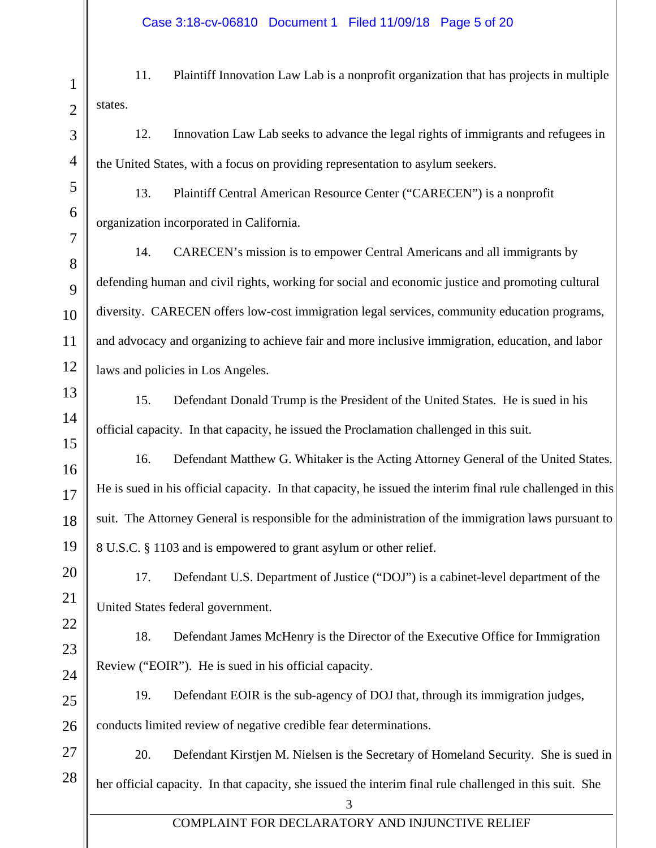1 11. Plaintiff Innovation Law Lab is a nonprofit organization that has projects in multiple states.

12. Innovation Law Lab seeks to advance the legal rights of immigrants and refugees in the United States, with a focus on providing representation to asylum seekers.

13. Plaintiff Central American Resource Center ("CARECEN") is a nonprofit organization incorporated in California.

14. CARECEN's mission is to empower Central Americans and all immigrants by defending human and civil rights, working for social and economic justice and promoting cultural diversity. CARECEN offers low-cost immigration legal services, community education programs, and advocacy and organizing to achieve fair and more inclusive immigration, education, and labor laws and policies in Los Angeles.

15. Defendant Donald Trump is the President of the United States. He is sued in his official capacity. In that capacity, he issued the Proclamation challenged in this suit.

16. Defendant Matthew G. Whitaker is the Acting Attorney General of the United States. He is sued in his official capacity. In that capacity, he issued the interim final rule challenged in this suit. The Attorney General is responsible for the administration of the immigration laws pursuant to 8 U.S.C. § 1103 and is empowered to grant asylum or other relief.

17. Defendant U.S. Department of Justice ("DOJ") is a cabinet-level department of the United States federal government.

18. Defendant James McHenry is the Director of the Executive Office for Immigration Review ("EOIR"). He is sued in his official capacity.

19. Defendant EOIR is the sub-agency of DOJ that, through its immigration judges,

conducts limited review of negative credible fear determinations.

20. Defendant Kirstjen M. Nielsen is the Secretary of Homeland Security. She is sued in her official capacity. In that capacity, she issued the interim final rule challenged in this suit. She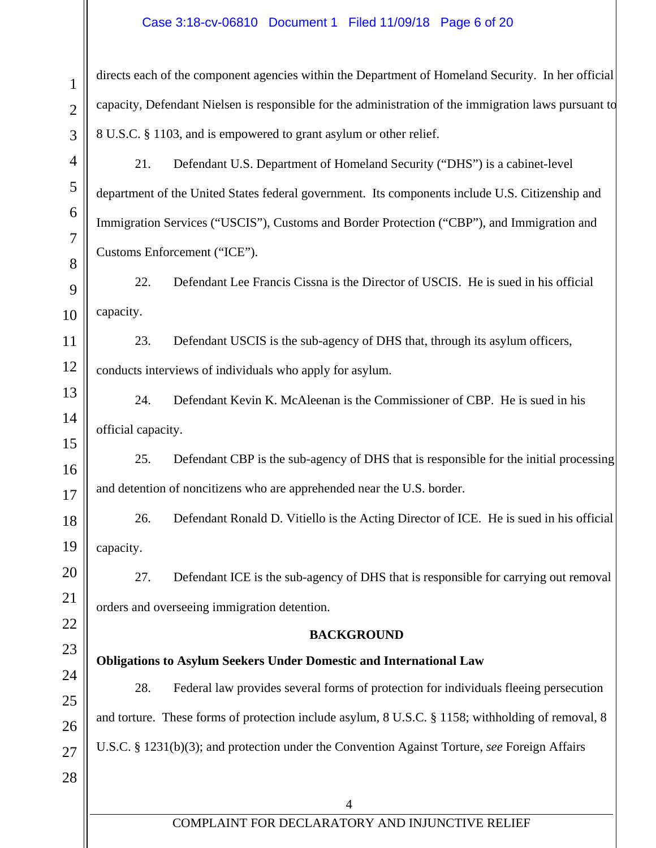## Case 3:18-cv-06810 Document 1 Filed 11/09/18 Page 6 of 20

| $\mathbf{z}$    |
|-----------------|
| 3               |
| 4               |
| 5               |
| 6               |
| $\overline{7}$  |
| 8               |
| 9               |
| 10              |
| 11              |
| $\overline{12}$ |
| 13              |
| 14              |
| 15              |
| 16              |
| 17              |
| 18              |
| 19              |
| $20\,$          |
| 21              |
| 22              |
| 23              |
| 24              |
| 25              |
| 26              |
| 27              |
| 28              |

directs each of the component agencies within the Department of Homeland Security. In her official capacity, Defendant Nielsen is responsible for the administration of the immigration laws pursuant to 8 U.S.C. § 1103, and is empowered to grant asylum or other relief.

21. Defendant U.S. Department of Homeland Security ("DHS") is a cabinet-level department of the United States federal government. Its components include U.S. Citizenship and Immigration Services ("USCIS"), Customs and Border Protection ("CBP"), and Immigration and Customs Enforcement ("ICE").

22. Defendant Lee Francis Cissna is the Director of USCIS. He is sued in his official capacity.

23. Defendant USCIS is the sub-agency of DHS that, through its asylum officers, conducts interviews of individuals who apply for asylum.

24. Defendant Kevin K. McAleenan is the Commissioner of CBP. He is sued in his official capacity.

25. Defendant CBP is the sub-agency of DHS that is responsible for the initial processing and detention of noncitizens who are apprehended near the U.S. border.

26. Defendant Ronald D. Vitiello is the Acting Director of ICE. He is sued in his official capacity.

27. Defendant ICE is the sub-agency of DHS that is responsible for carrying out removal orders and overseeing immigration detention.

# **BACKGROUND**

# **Obligations to Asylum Seekers Under Domestic and International Law**

28. Federal law provides several forms of protection for individuals fleeing persecution and torture. These forms of protection include asylum, 8 U.S.C. § 1158; withholding of removal, 8 U.S.C. § 1231(b)(3); and protection under the Convention Against Torture, *see* Foreign Affairs

 $\Lambda$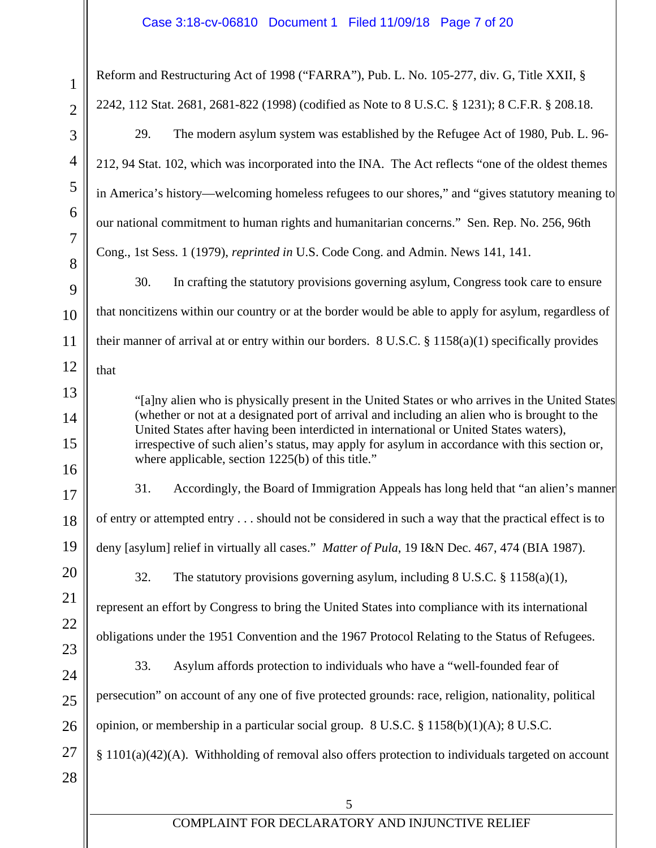| 1               |  |
|-----------------|--|
|                 |  |
| 3               |  |
| $\overline{4}$  |  |
| 5               |  |
| 6               |  |
| 7               |  |
| 8               |  |
| 9               |  |
| 10              |  |
| 11              |  |
| 12              |  |
| 13              |  |
| 14              |  |
| 15              |  |
| 16              |  |
| 17              |  |
| 18              |  |
| 19              |  |
| 20              |  |
| $\overline{21}$ |  |
| $^{22}$         |  |
| $^{23}$         |  |
| $\frac{24}{3}$  |  |
| 25              |  |
| 26              |  |
| 27              |  |
| $\overline{28}$ |  |

Reform and Restructuring Act of 1998 ("FARRA"), Pub. L. No. 105-277, div. G, Title XXII, § 2242, 112 Stat. 2681, 2681-822 (1998) (codified as Note to 8 U.S.C. § 1231); 8 C.F.R. § 208.18.

29. The modern asylum system was established by the Refugee Act of 1980, Pub. L. 96- 212, 94 Stat. 102, which was incorporated into the INA. The Act reflects "one of the oldest themes in America's history—welcoming homeless refugees to our shores," and "gives statutory meaning to our national commitment to human rights and humanitarian concerns." Sen. Rep. No. 256, 96th Cong., 1st Sess. 1 (1979), *reprinted in* U.S. Code Cong. and Admin. News 141, 141.

30. In crafting the statutory provisions governing asylum, Congress took care to ensure that noncitizens within our country or at the border would be able to apply for asylum, regardless of their manner of arrival at or entry within our borders. 8 U.S.C. § 1158(a)(1) specifically provides that

"[a]ny alien who is physically present in the United States or who arrives in the United States (whether or not at a designated port of arrival and including an alien who is brought to the United States after having been interdicted in international or United States waters), irrespective of such alien's status, may apply for asylum in accordance with this section or, where applicable, section 1225(b) of this title."

31. Accordingly, the Board of Immigration Appeals has long held that "an alien's manner

of entry or attempted entry . . . should not be considered in such a way that the practical effect is to

deny [asylum] relief in virtually all cases." *Matter of Pula*, 19 I&N Dec. 467, 474 (BIA 1987).

32. The statutory provisions governing asylum, including 8 U.S.C. § 1158(a)(1), represent an effort by Congress to bring the United States into compliance with its international

obligations under the 1951 Convention and the 1967 Protocol Relating to the Status of Refugees.

33. Asylum affords protection to individuals who have a "well-founded fear of persecution" on account of any one of five protected grounds: race, religion, nationality, political

opinion, or membership in a particular social group.  $8 \text{ U.S.C.} \& 1158(b)(1)(A); 8 \text{ U.S.C.}$ 

§ 1101(a)(42)(A). Withholding of removal also offers protection to individuals targeted on account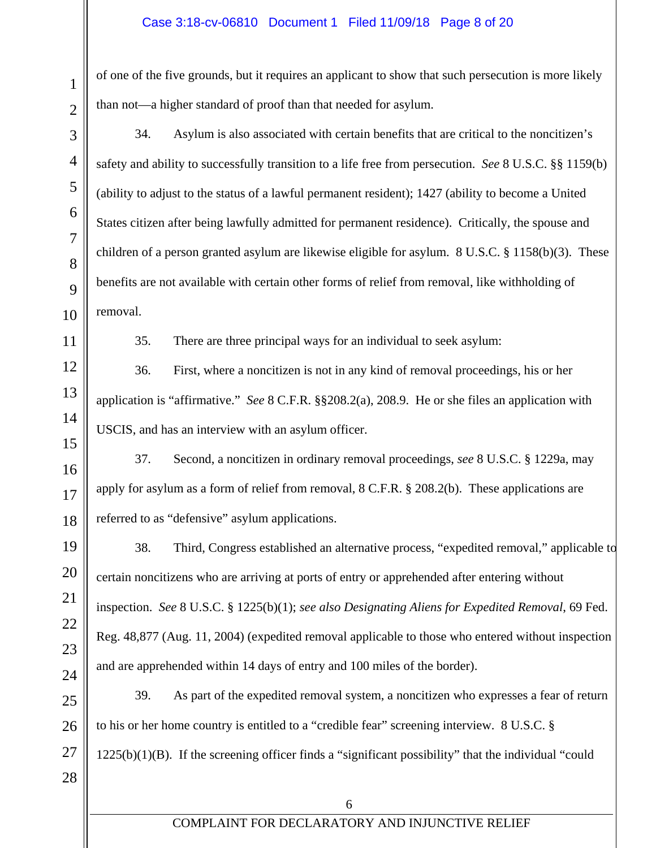of one of the five grounds, but it requires an applicant to show that such persecution is more likely than not—a higher standard of proof than that needed for asylum.

34. Asylum is also associated with certain benefits that are critical to the noncitizen's safety and ability to successfully transition to a life free from persecution. *See* 8 U.S.C. §§ 1159(b) (ability to adjust to the status of a lawful permanent resident); 1427 (ability to become a United States citizen after being lawfully admitted for permanent residence). Critically, the spouse and children of a person granted asylum are likewise eligible for asylum. 8 U.S.C. § 1158(b)(3). These benefits are not available with certain other forms of relief from removal, like withholding of removal.

35. There are three principal ways for an individual to seek asylum:

36. First, where a noncitizen is not in any kind of removal proceedings, his or her application is "affirmative." *See* 8 C.F.R. §§208.2(a), 208.9. He or she files an application with USCIS, and has an interview with an asylum officer.

37. Second, a noncitizen in ordinary removal proceedings, *see* 8 U.S.C. § 1229a, may apply for asylum as a form of relief from removal, 8 C.F.R. § 208.2(b). These applications are referred to as "defensive" asylum applications.

38. Third, Congress established an alternative process, "expedited removal," applicable to certain noncitizens who are arriving at ports of entry or apprehended after entering without inspection. *See* 8 U.S.C. § 1225(b)(1); *see also Designating Aliens for Expedited Removal*, 69 Fed. Reg. 48,877 (Aug. 11, 2004) (expedited removal applicable to those who entered without inspection and are apprehended within 14 days of entry and 100 miles of the border).

39. As part of the expedited removal system, a noncitizen who expresses a fear of return to his or her home country is entitled to a "credible fear" screening interview. 8 U.S.C. §  $1225(b)(1)(B)$ . If the screening officer finds a "significant possibility" that the individual "could"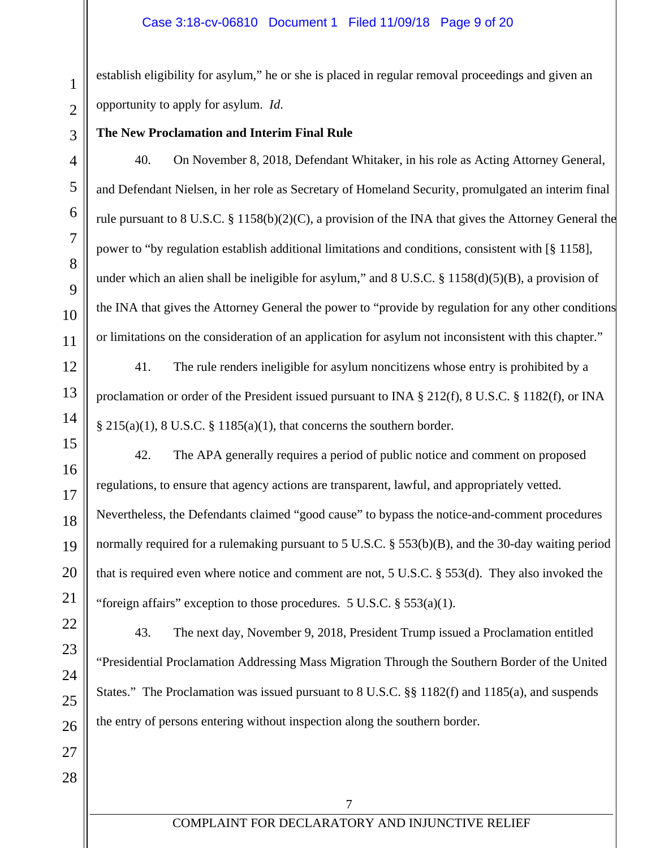## Case 3:18-cv-06810 Document 1 Filed 11/09/18 Page 9 of 20

establish eligibility for asylum," he or she is placed in regular removal proceedings and given an opportunity to apply for asylum. *Id*.

**The New Proclamation and Interim Final Rule** 

40. On November 8, 2018, Defendant Whitaker, in his role as Acting Attorney General, and Defendant Nielsen, in her role as Secretary of Homeland Security, promulgated an interim final rule pursuant to 8 U.S.C. § 1158(b)(2)(C), a provision of the INA that gives the Attorney General the power to "by regulation establish additional limitations and conditions, consistent with [§ 1158], under which an alien shall be ineligible for asylum," and  $8 \text{ U.S.C. }$   $\frac{8}{3}$  1158(d)(5)(B), a provision of the INA that gives the Attorney General the power to "provide by regulation for any other conditions or limitations on the consideration of an application for asylum not inconsistent with this chapter."

41. The rule renders ineligible for asylum noncitizens whose entry is prohibited by a proclamation or order of the President issued pursuant to INA § 212(f), 8 U.S.C. § 1182(f), or INA  $\S 215(a)(1)$ , 8 U.S.C.  $\S 1185(a)(1)$ , that concerns the southern border.

42. The APA generally requires a period of public notice and comment on proposed regulations, to ensure that agency actions are transparent, lawful, and appropriately vetted. Nevertheless, the Defendants claimed "good cause" to bypass the notice-and-comment procedures normally required for a rulemaking pursuant to 5 U.S.C. § 553(b)(B), and the 30-day waiting period that is required even where notice and comment are not, 5 U.S.C. § 553(d). They also invoked the "foreign affairs" exception to those procedures.  $5 \text{ U.S.C. }$   $\S 553(a)(1)$ .

43. The next day, November 9, 2018, President Trump issued a Proclamation entitled "Presidential Proclamation Addressing Mass Migration Through the Southern Border of the United States." The Proclamation was issued pursuant to 8 U.S.C. §§ 1182(f) and 1185(a), and suspends the entry of persons entering without inspection along the southern border.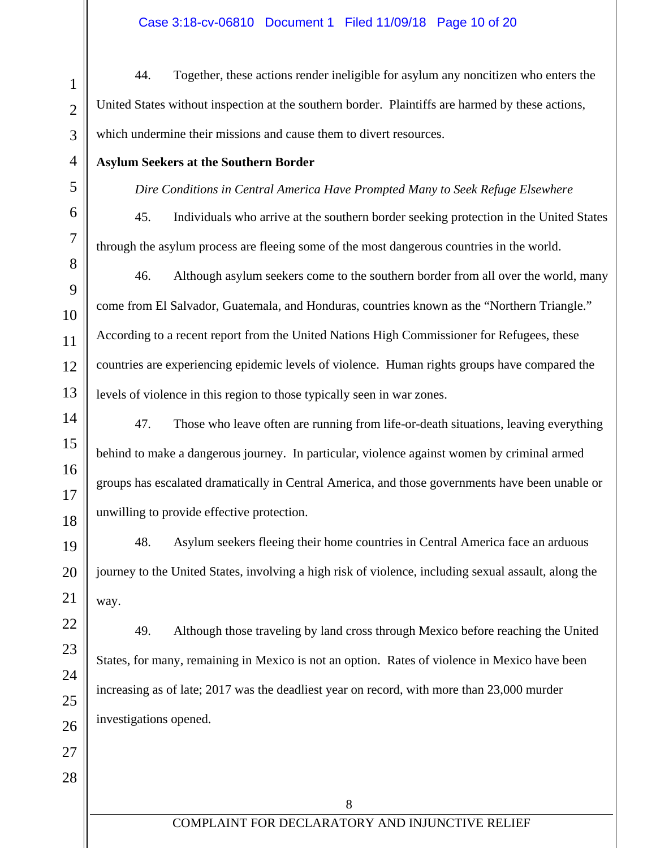# Case 3:18-cv-06810 Document 1 Filed 11/09/18 Page 10 of 20

44. Together, these actions render ineligible for asylum any noncitizen who enters the United States without inspection at the southern border. Plaintiffs are harmed by these actions, which undermine their missions and cause them to divert resources.

## **Asylum Seekers at the Southern Border**

## *Dire Conditions in Central America Have Prompted Many to Seek Refuge Elsewhere*

45. Individuals who arrive at the southern border seeking protection in the United States through the asylum process are fleeing some of the most dangerous countries in the world.

46. Although asylum seekers come to the southern border from all over the world, many come from El Salvador, Guatemala, and Honduras, countries known as the "Northern Triangle." According to a recent report from the United Nations High Commissioner for Refugees, these countries are experiencing epidemic levels of violence. Human rights groups have compared the levels of violence in this region to those typically seen in war zones.

47. Those who leave often are running from life-or-death situations, leaving everything behind to make a dangerous journey. In particular, violence against women by criminal armed groups has escalated dramatically in Central America, and those governments have been unable or unwilling to provide effective protection.

48. Asylum seekers fleeing their home countries in Central America face an arduous journey to the United States, involving a high risk of violence, including sexual assault, along the way.

49. Although those traveling by land cross through Mexico before reaching the United States, for many, remaining in Mexico is not an option. Rates of violence in Mexico have been increasing as of late; 2017 was the deadliest year on record, with more than 23,000 murder investigations opened.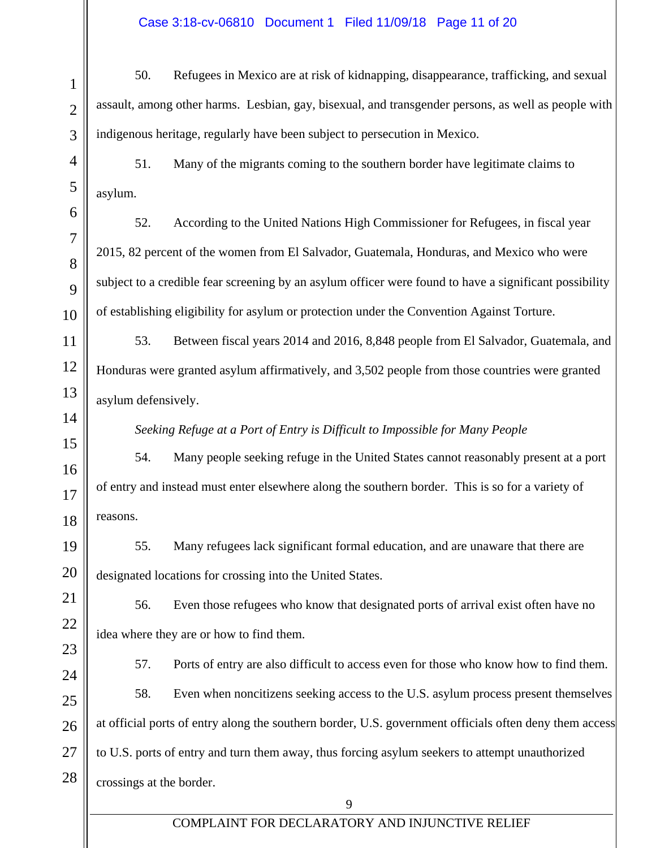## Case 3:18-cv-06810 Document 1 Filed 11/09/18 Page 11 of 20

1 2 3 4 5 6 7 8 9 10 11 12 13 14 15 16 17 18 19 20 21 22 23 24 25 26 27 28 9 50. Refugees in Mexico are at risk of kidnapping, disappearance, trafficking, and sexual assault, among other harms. Lesbian, gay, bisexual, and transgender persons, as well as people with indigenous heritage, regularly have been subject to persecution in Mexico. 51. Many of the migrants coming to the southern border have legitimate claims to asylum. 52. According to the United Nations High Commissioner for Refugees, in fiscal year 2015, 82 percent of the women from El Salvador, Guatemala, Honduras, and Mexico who were subject to a credible fear screening by an asylum officer were found to have a significant possibility of establishing eligibility for asylum or protection under the Convention Against Torture. 53. Between fiscal years 2014 and 2016, 8,848 people from El Salvador, Guatemala, and Honduras were granted asylum affirmatively, and 3,502 people from those countries were granted asylum defensively. *Seeking Refuge at a Port of Entry is Difficult to Impossible for Many People*  54. Many people seeking refuge in the United States cannot reasonably present at a port of entry and instead must enter elsewhere along the southern border. This is so for a variety of reasons. 55. Many refugees lack significant formal education, and are unaware that there are designated locations for crossing into the United States. 56. Even those refugees who know that designated ports of arrival exist often have no idea where they are or how to find them. 57. Ports of entry are also difficult to access even for those who know how to find them. 58. Even when noncitizens seeking access to the U.S. asylum process present themselves at official ports of entry along the southern border, U.S. government officials often deny them access to U.S. ports of entry and turn them away, thus forcing asylum seekers to attempt unauthorized crossings at the border.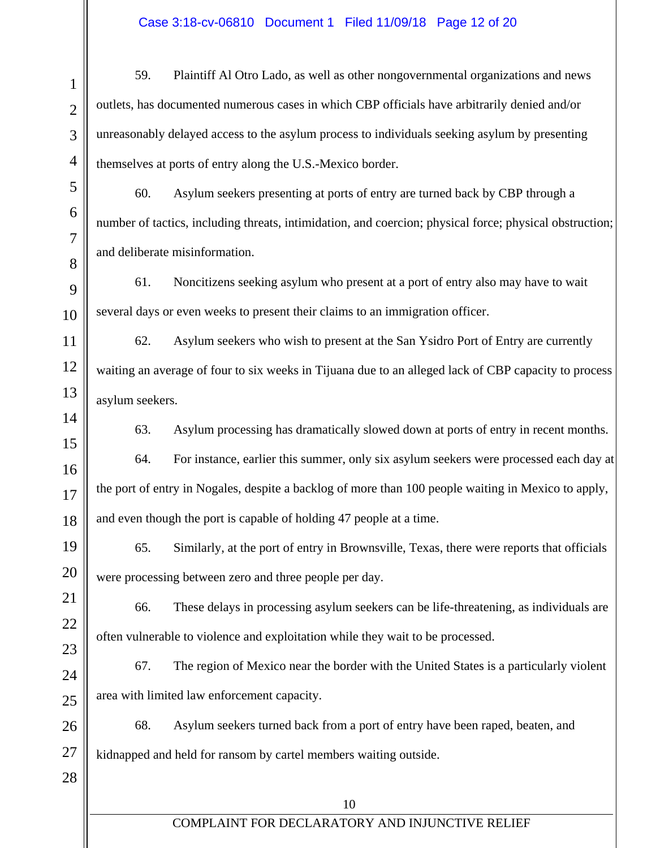# Case 3:18-cv-06810 Document 1 Filed 11/09/18 Page 12 of 20

1 2 3 4 5 6 7 8 9 10 11 12 13 14 15 16 17 18 19 20 21 22 23 24 25 26 27 28 10 COMPLAINT FOR DECLARATORY AND INJUNCTIVE RELIEF 59. Plaintiff Al Otro Lado, as well as other nongovernmental organizations and news outlets, has documented numerous cases in which CBP officials have arbitrarily denied and/or unreasonably delayed access to the asylum process to individuals seeking asylum by presenting themselves at ports of entry along the U.S.-Mexico border. 60. Asylum seekers presenting at ports of entry are turned back by CBP through a number of tactics, including threats, intimidation, and coercion; physical force; physical obstruction; and deliberate misinformation. 61. Noncitizens seeking asylum who present at a port of entry also may have to wait several days or even weeks to present their claims to an immigration officer. 62. Asylum seekers who wish to present at the San Ysidro Port of Entry are currently waiting an average of four to six weeks in Tijuana due to an alleged lack of CBP capacity to process asylum seekers. 63. Asylum processing has dramatically slowed down at ports of entry in recent months. 64. For instance, earlier this summer, only six asylum seekers were processed each day at the port of entry in Nogales, despite a backlog of more than 100 people waiting in Mexico to apply, and even though the port is capable of holding 47 people at a time. 65. Similarly, at the port of entry in Brownsville, Texas, there were reports that officials were processing between zero and three people per day. 66. These delays in processing asylum seekers can be life-threatening, as individuals are often vulnerable to violence and exploitation while they wait to be processed. 67. The region of Mexico near the border with the United States is a particularly violent area with limited law enforcement capacity. 68. Asylum seekers turned back from a port of entry have been raped, beaten, and kidnapped and held for ransom by cartel members waiting outside.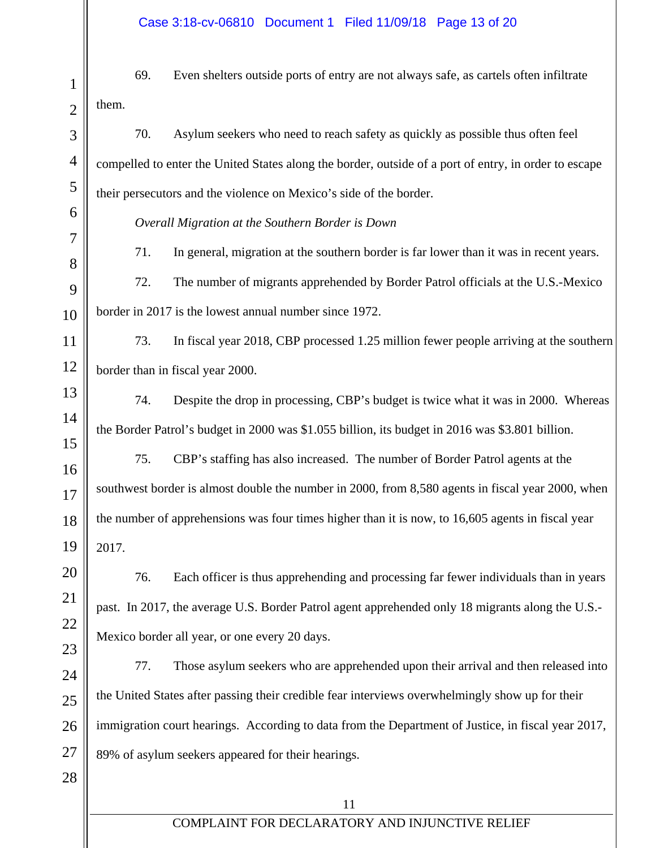1 2 3 4 5 6 7 8 9 10 11 12 13 14 15 16 17 18 19 20 21 22 23 24 25 26 27 28 69. Even shelters outside ports of entry are not always safe, as cartels often infiltrate them. 70. Asylum seekers who need to reach safety as quickly as possible thus often feel compelled to enter the United States along the border, outside of a port of entry, in order to escape their persecutors and the violence on Mexico's side of the border. *Overall Migration at the Southern Border is Down*  71. In general, migration at the southern border is far lower than it was in recent years. 72. The number of migrants apprehended by Border Patrol officials at the U.S.-Mexico border in 2017 is the lowest annual number since 1972. 73. In fiscal year 2018, CBP processed 1.25 million fewer people arriving at the southern border than in fiscal year 2000. 74. Despite the drop in processing, CBP's budget is twice what it was in 2000. Whereas the Border Patrol's budget in 2000 was \$1.055 billion, its budget in 2016 was \$3.801 billion. 75. CBP's staffing has also increased. The number of Border Patrol agents at the southwest border is almost double the number in 2000, from 8,580 agents in fiscal year 2000, when the number of apprehensions was four times higher than it is now, to 16,605 agents in fiscal year 2017. 76. Each officer is thus apprehending and processing far fewer individuals than in years past. In 2017, the average U.S. Border Patrol agent apprehended only 18 migrants along the U.S.- Mexico border all year, or one every 20 days. 77. Those asylum seekers who are apprehended upon their arrival and then released into the United States after passing their credible fear interviews overwhelmingly show up for their immigration court hearings. According to data from the Department of Justice, in fiscal year 2017, 89% of asylum seekers appeared for their hearings.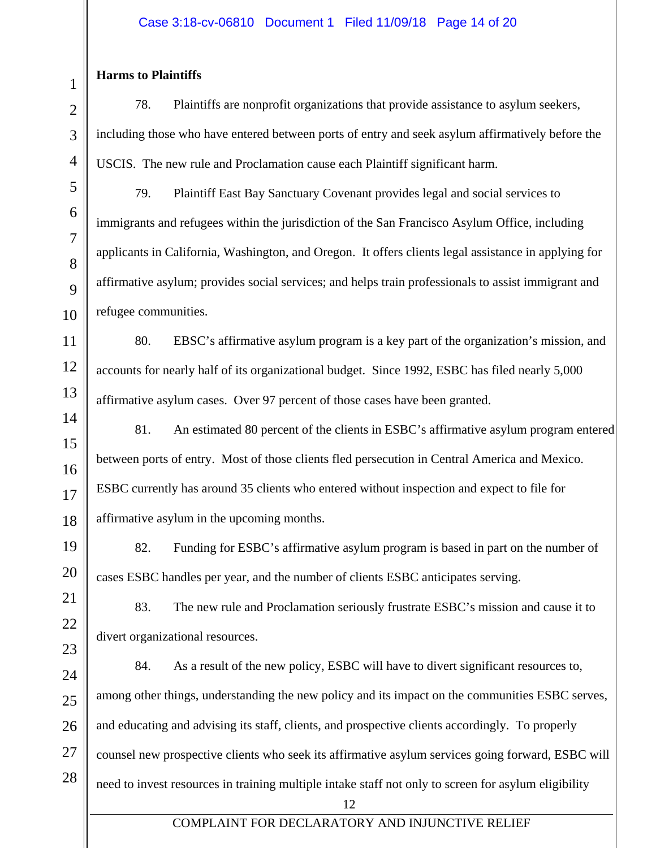## Case 3:18-cv-06810 Document 1 Filed 11/09/18 Page 14 of 20

#### **Harms to Plaintiffs**

78. Plaintiffs are nonprofit organizations that provide assistance to asylum seekers, including those who have entered between ports of entry and seek asylum affirmatively before the USCIS. The new rule and Proclamation cause each Plaintiff significant harm.

79. Plaintiff East Bay Sanctuary Covenant provides legal and social services to immigrants and refugees within the jurisdiction of the San Francisco Asylum Office, including applicants in California, Washington, and Oregon. It offers clients legal assistance in applying for affirmative asylum; provides social services; and helps train professionals to assist immigrant and refugee communities.

80. EBSC's affirmative asylum program is a key part of the organization's mission, and accounts for nearly half of its organizational budget. Since 1992, ESBC has filed nearly 5,000 affirmative asylum cases. Over 97 percent of those cases have been granted.

81. An estimated 80 percent of the clients in ESBC's affirmative asylum program entered between ports of entry. Most of those clients fled persecution in Central America and Mexico. ESBC currently has around 35 clients who entered without inspection and expect to file for affirmative asylum in the upcoming months.

82. Funding for ESBC's affirmative asylum program is based in part on the number of cases ESBC handles per year, and the number of clients ESBC anticipates serving.

83. The new rule and Proclamation seriously frustrate ESBC's mission and cause it to divert organizational resources.

84. As a result of the new policy, ESBC will have to divert significant resources to, among other things, understanding the new policy and its impact on the communities ESBC serves, and educating and advising its staff, clients, and prospective clients accordingly. To properly counsel new prospective clients who seek its affirmative asylum services going forward, ESBC will need to invest resources in training multiple intake staff not only to screen for asylum eligibility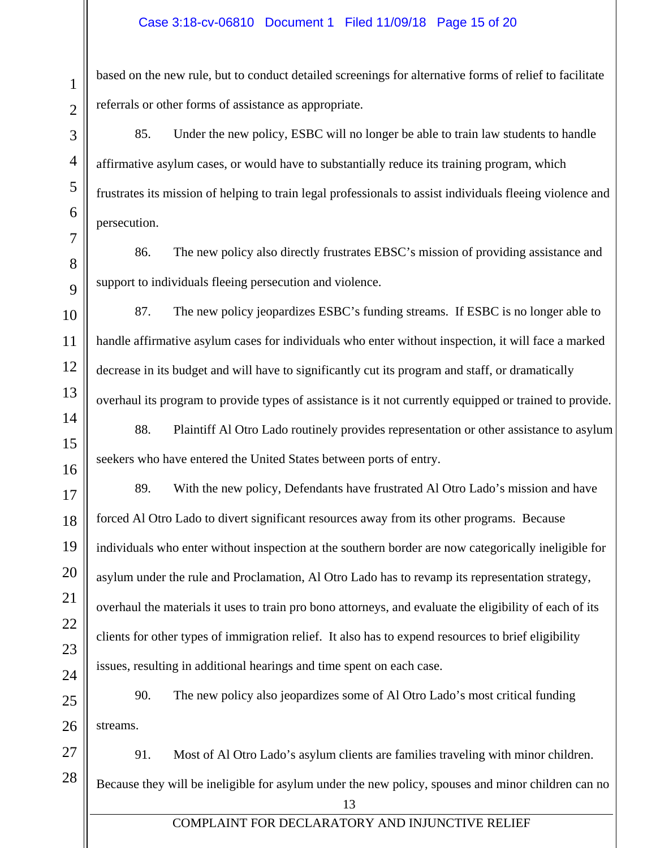#### Case 3:18-cv-06810 Document 1 Filed 11/09/18 Page 15 of 20

based on the new rule, but to conduct detailed screenings for alternative forms of relief to facilitate referrals or other forms of assistance as appropriate.

85. Under the new policy, ESBC will no longer be able to train law students to handle affirmative asylum cases, or would have to substantially reduce its training program, which frustrates its mission of helping to train legal professionals to assist individuals fleeing violence and persecution.

86. The new policy also directly frustrates EBSC's mission of providing assistance and support to individuals fleeing persecution and violence.

87. The new policy jeopardizes ESBC's funding streams. If ESBC is no longer able to handle affirmative asylum cases for individuals who enter without inspection, it will face a marked decrease in its budget and will have to significantly cut its program and staff, or dramatically overhaul its program to provide types of assistance is it not currently equipped or trained to provide.

88. Plaintiff Al Otro Lado routinely provides representation or other assistance to asylum seekers who have entered the United States between ports of entry.

89. With the new policy, Defendants have frustrated Al Otro Lado's mission and have forced Al Otro Lado to divert significant resources away from its other programs. Because individuals who enter without inspection at the southern border are now categorically ineligible for asylum under the rule and Proclamation, Al Otro Lado has to revamp its representation strategy, overhaul the materials it uses to train pro bono attorneys, and evaluate the eligibility of each of its clients for other types of immigration relief. It also has to expend resources to brief eligibility issues, resulting in additional hearings and time spent on each case.

90. The new policy also jeopardizes some of Al Otro Lado's most critical funding streams.

28 91. Most of Al Otro Lado's asylum clients are families traveling with minor children. Because they will be ineligible for asylum under the new policy, spouses and minor children can no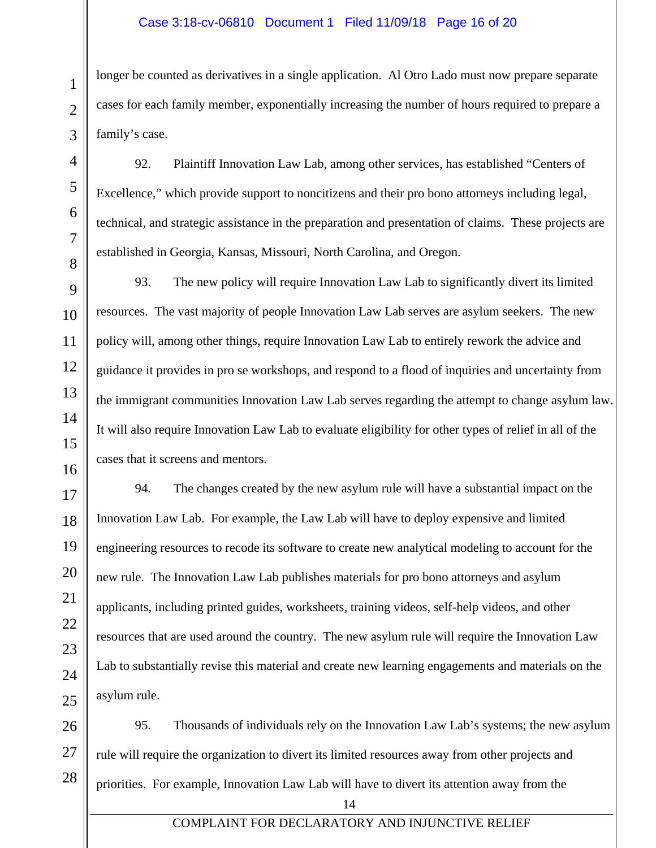#### Case 3:18-cv-06810 Document 1 Filed 11/09/18 Page 16 of 20

longer be counted as derivatives in a single application. Al Otro Lado must now prepare separate cases for each family member, exponentially increasing the number of hours required to prepare a family's case.

92. Plaintiff Innovation Law Lab, among other services, has established "Centers of Excellence," which provide support to noncitizens and their pro bono attorneys including legal, technical, and strategic assistance in the preparation and presentation of claims. These projects are established in Georgia, Kansas, Missouri, North Carolina, and Oregon.

93. The new policy will require Innovation Law Lab to significantly divert its limited resources. The vast majority of people Innovation Law Lab serves are asylum seekers. The new policy will, among other things, require Innovation Law Lab to entirely rework the advice and guidance it provides in pro se workshops, and respond to a flood of inquiries and uncertainty from the immigrant communities Innovation Law Lab serves regarding the attempt to change asylum law. It will also require Innovation Law Lab to evaluate eligibility for other types of relief in all of the cases that it screens and mentors.

94. The changes created by the new asylum rule will have a substantial impact on the Innovation Law Lab. For example, the Law Lab will have to deploy expensive and limited engineering resources to recode its software to create new analytical modeling to account for the new rule. The Innovation Law Lab publishes materials for pro bono attorneys and asylum applicants, including printed guides, worksheets, training videos, self-help videos, and other resources that are used around the country. The new asylum rule will require the Innovation Law Lab to substantially revise this material and create new learning engagements and materials on the asylum rule.

26 27 28 95. Thousands of individuals rely on the Innovation Law Lab's systems; the new asylum rule will require the organization to divert its limited resources away from other projects and priorities. For example, Innovation Law Lab will have to divert its attention away from the

1

2

3

4

5

6

7

8

9

10

11

12

13

14

15

16

17

18

19

20

21

22

23

24

25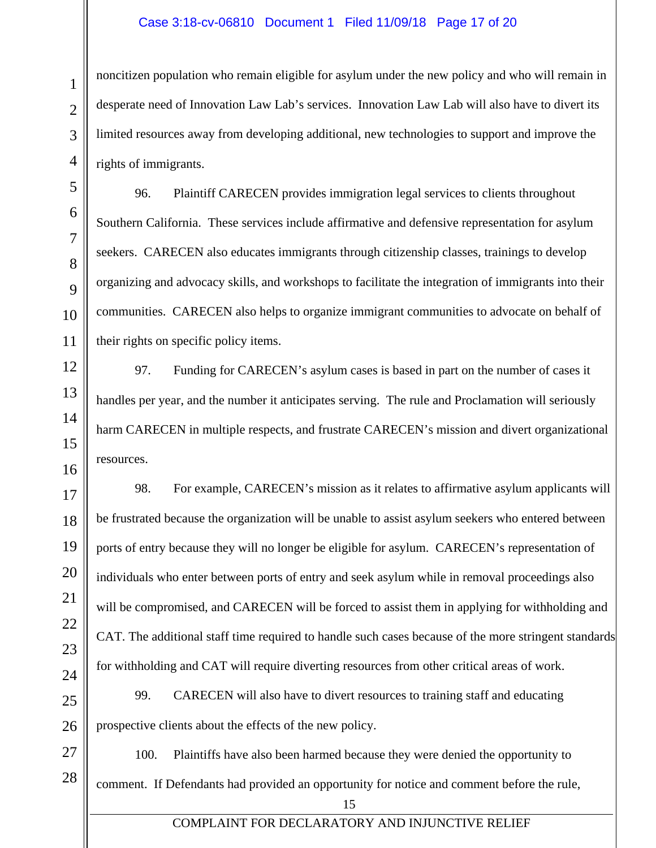#### Case 3:18-cv-06810 Document 1 Filed 11/09/18 Page 17 of 20

noncitizen population who remain eligible for asylum under the new policy and who will remain in desperate need of Innovation Law Lab's services. Innovation Law Lab will also have to divert its limited resources away from developing additional, new technologies to support and improve the rights of immigrants.

96. Plaintiff CARECEN provides immigration legal services to clients throughout Southern California. These services include affirmative and defensive representation for asylum seekers. CARECEN also educates immigrants through citizenship classes, trainings to develop organizing and advocacy skills, and workshops to facilitate the integration of immigrants into their communities. CARECEN also helps to organize immigrant communities to advocate on behalf of their rights on specific policy items.

97. Funding for CARECEN's asylum cases is based in part on the number of cases it handles per year, and the number it anticipates serving. The rule and Proclamation will seriously harm CARECEN in multiple respects, and frustrate CARECEN's mission and divert organizational resources.

98. For example, CARECEN's mission as it relates to affirmative asylum applicants will be frustrated because the organization will be unable to assist asylum seekers who entered between ports of entry because they will no longer be eligible for asylum. CARECEN's representation of individuals who enter between ports of entry and seek asylum while in removal proceedings also will be compromised, and CARECEN will be forced to assist them in applying for withholding and CAT. The additional staff time required to handle such cases because of the more stringent standards for withholding and CAT will require diverting resources from other critical areas of work.

99. CARECEN will also have to divert resources to training staff and educating prospective clients about the effects of the new policy.

100. Plaintiffs have also been harmed because they were denied the opportunity to comment. If Defendants had provided an opportunity for notice and comment before the rule,

15

1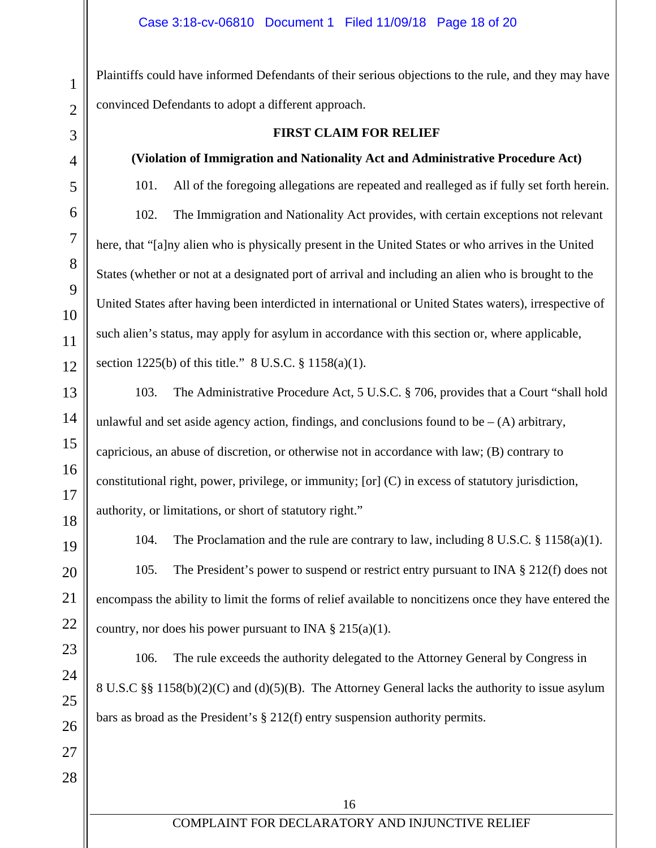Plaintiffs could have informed Defendants of their serious objections to the rule, and they may have convinced Defendants to adopt a different approach.

# **FIRST CLAIM FOR RELIEF**

## **(Violation of Immigration and Nationality Act and Administrative Procedure Act)**

101. All of the foregoing allegations are repeated and realleged as if fully set forth herein. 102. The Immigration and Nationality Act provides, with certain exceptions not relevant here, that "[a]ny alien who is physically present in the United States or who arrives in the United States (whether or not at a designated port of arrival and including an alien who is brought to the United States after having been interdicted in international or United States waters), irrespective of such alien's status, may apply for asylum in accordance with this section or, where applicable, section 1225(b) of this title." 8 U.S.C. § 1158(a)(1).

103. The Administrative Procedure Act, 5 U.S.C. § 706, provides that a Court "shall hold unlawful and set aside agency action, findings, and conclusions found to be  $-(A)$  arbitrary, capricious, an abuse of discretion, or otherwise not in accordance with law; (B) contrary to constitutional right, power, privilege, or immunity; [or] (C) in excess of statutory jurisdiction, authority, or limitations, or short of statutory right."

104. The Proclamation and the rule are contrary to law, including 8 U.S.C. § 1158(a)(1).

105. The President's power to suspend or restrict entry pursuant to INA § 212(f) does not encompass the ability to limit the forms of relief available to noncitizens once they have entered the country, nor does his power pursuant to INA  $\S 215(a)(1)$ .

106. The rule exceeds the authority delegated to the Attorney General by Congress in 8 U.S.C §§ 1158(b)(2)(C) and (d)(5)(B). The Attorney General lacks the authority to issue asylum bars as broad as the President's § 212(f) entry suspension authority permits.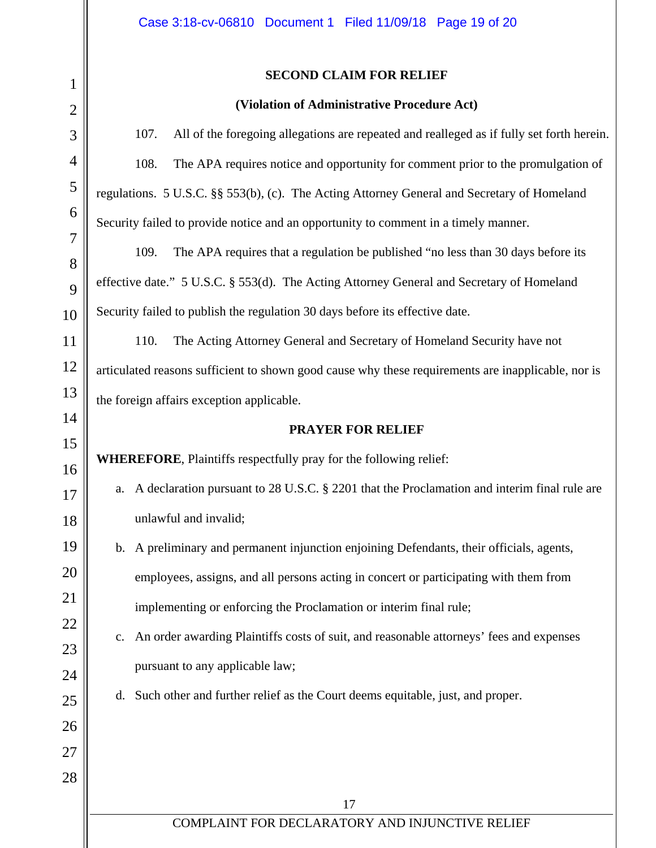## **SECOND CLAIM FOR RELIEF**

#### **(Violation of Administrative Procedure Act)**

107. All of the foregoing allegations are repeated and realleged as if fully set forth herein. 108. The APA requires notice and opportunity for comment prior to the promulgation of regulations. 5 U.S.C. §§ 553(b), (c). The Acting Attorney General and Secretary of Homeland Security failed to provide notice and an opportunity to comment in a timely manner.

109. The APA requires that a regulation be published "no less than 30 days before its effective date." 5 U.S.C. § 553(d). The Acting Attorney General and Secretary of Homeland Security failed to publish the regulation 30 days before its effective date.

110. The Acting Attorney General and Secretary of Homeland Security have not articulated reasons sufficient to shown good cause why these requirements are inapplicable, nor is the foreign affairs exception applicable.

#### **PRAYER FOR RELIEF**

**WHEREFORE**, Plaintiffs respectfully pray for the following relief:

- a. A declaration pursuant to 28 U.S.C. § 2201 that the Proclamation and interim final rule are unlawful and invalid;
- b. A preliminary and permanent injunction enjoining Defendants, their officials, agents, employees, assigns, and all persons acting in concert or participating with them from implementing or enforcing the Proclamation or interim final rule;
	- c. An order awarding Plaintiffs costs of suit, and reasonable attorneys' fees and expenses pursuant to any applicable law;
	- d. Such other and further relief as the Court deems equitable, just, and proper.